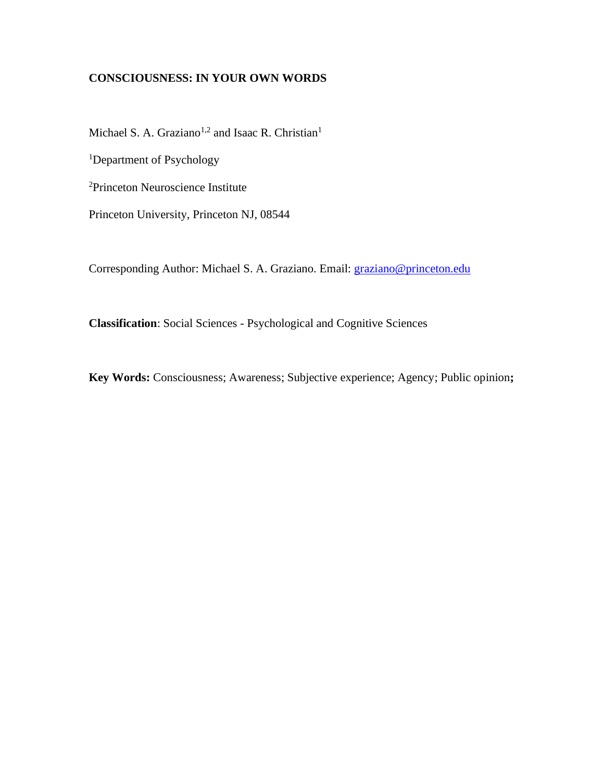# **CONSCIOUSNESS: IN YOUR OWN WORDS**

Michael S. A. Graziano<sup>1,2</sup> and Isaac R. Christian<sup>1</sup>

<sup>1</sup>Department of Psychology

<sup>2</sup>Princeton Neuroscience Institute

Princeton University, Princeton NJ, 08544

Corresponding Author: Michael S. A. Graziano. Email: [graziano@princeton.edu](mailto:graziano@princeton.edu)

**Classification**: Social Sciences - Psychological and Cognitive Sciences

**Key Words:** Consciousness; Awareness; Subjective experience; Agency; Public opinion**;**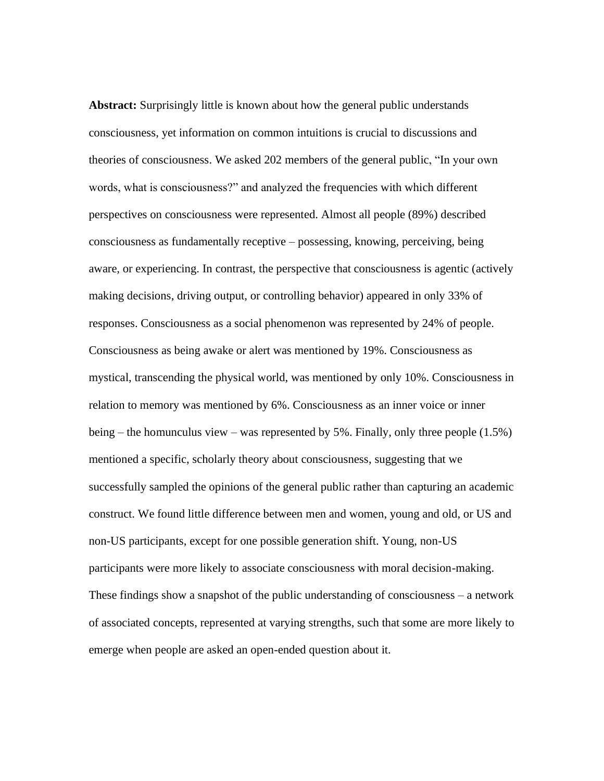**Abstract:** Surprisingly little is known about how the general public understands consciousness, yet information on common intuitions is crucial to discussions and theories of consciousness. We asked 202 members of the general public, "In your own words, what is consciousness?" and analyzed the frequencies with which different perspectives on consciousness were represented. Almost all people (89%) described consciousness as fundamentally receptive – possessing, knowing, perceiving, being aware, or experiencing. In contrast, the perspective that consciousness is agentic (actively making decisions, driving output, or controlling behavior) appeared in only 33% of responses. Consciousness as a social phenomenon was represented by 24% of people. Consciousness as being awake or alert was mentioned by 19%. Consciousness as mystical, transcending the physical world, was mentioned by only 10%. Consciousness in relation to memory was mentioned by 6%. Consciousness as an inner voice or inner being – the homunculus view – was represented by 5%. Finally, only three people  $(1.5%)$ mentioned a specific, scholarly theory about consciousness, suggesting that we successfully sampled the opinions of the general public rather than capturing an academic construct. We found little difference between men and women, young and old, or US and non-US participants, except for one possible generation shift. Young, non-US participants were more likely to associate consciousness with moral decision-making. These findings show a snapshot of the public understanding of consciousness – a network of associated concepts, represented at varying strengths, such that some are more likely to emerge when people are asked an open-ended question about it.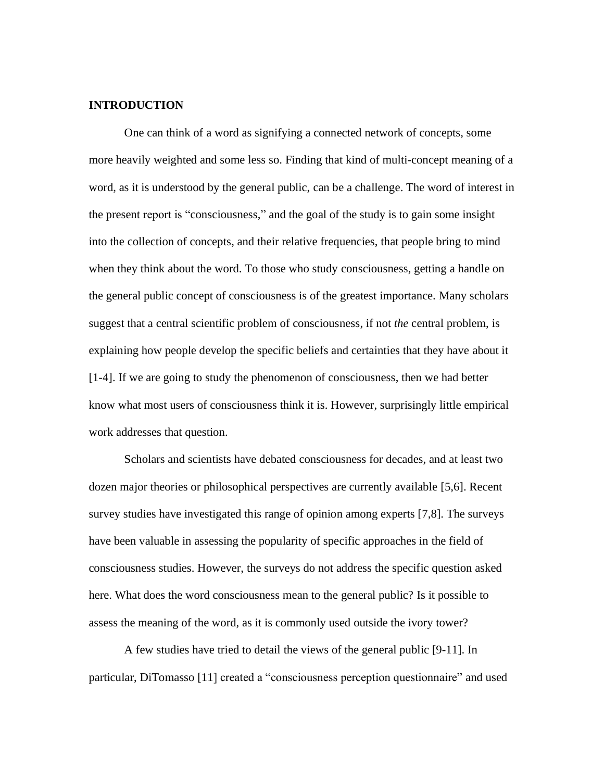# **INTRODUCTION**

One can think of a word as signifying a connected network of concepts, some more heavily weighted and some less so. Finding that kind of multi-concept meaning of a word, as it is understood by the general public, can be a challenge. The word of interest in the present report is "consciousness," and the goal of the study is to gain some insight into the collection of concepts, and their relative frequencies, that people bring to mind when they think about the word. To those who study consciousness, getting a handle on the general public concept of consciousness is of the greatest importance. Many scholars suggest that a central scientific problem of consciousness, if not *the* central problem, is explaining how people develop the specific beliefs and certainties that they have about it [1-4]. If we are going to study the phenomenon of consciousness, then we had better know what most users of consciousness think it is. However, surprisingly little empirical work addresses that question.

Scholars and scientists have debated consciousness for decades, and at least two dozen major theories or philosophical perspectives are currently available [5,6]. Recent survey studies have investigated this range of opinion among experts [7,8]. The surveys have been valuable in assessing the popularity of specific approaches in the field of consciousness studies. However, the surveys do not address the specific question asked here. What does the word consciousness mean to the general public? Is it possible to assess the meaning of the word, as it is commonly used outside the ivory tower?

A few studies have tried to detail the views of the general public [9-11]. In particular, DiTomasso [11] created a "consciousness perception questionnaire" and used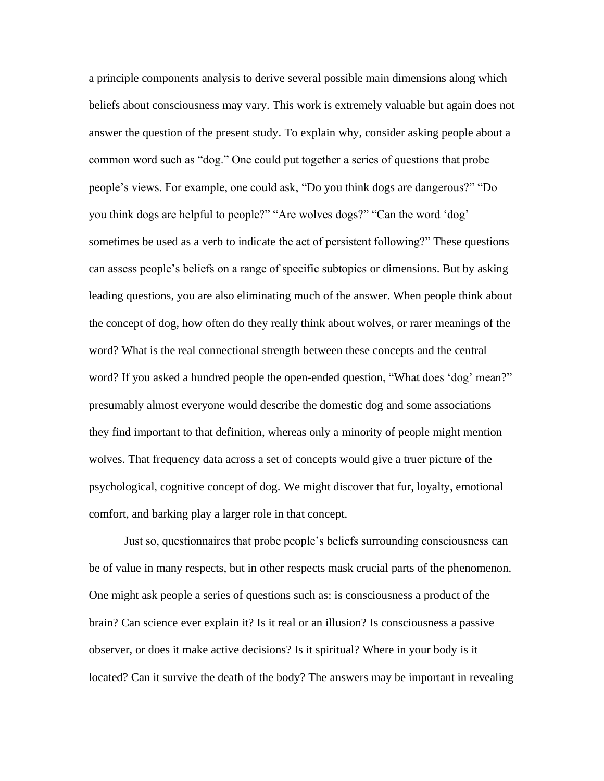a principle components analysis to derive several possible main dimensions along which beliefs about consciousness may vary. This work is extremely valuable but again does not answer the question of the present study. To explain why, consider asking people about a common word such as "dog." One could put together a series of questions that probe people's views. For example, one could ask, "Do you think dogs are dangerous?" "Do you think dogs are helpful to people?" "Are wolves dogs?" "Can the word 'dog' sometimes be used as a verb to indicate the act of persistent following?" These questions can assess people's beliefs on a range of specific subtopics or dimensions. But by asking leading questions, you are also eliminating much of the answer. When people think about the concept of dog, how often do they really think about wolves, or rarer meanings of the word? What is the real connectional strength between these concepts and the central word? If you asked a hundred people the open-ended question, "What does 'dog' mean?" presumably almost everyone would describe the domestic dog and some associations they find important to that definition, whereas only a minority of people might mention wolves. That frequency data across a set of concepts would give a truer picture of the psychological, cognitive concept of dog. We might discover that fur, loyalty, emotional comfort, and barking play a larger role in that concept.

Just so, questionnaires that probe people's beliefs surrounding consciousness can be of value in many respects, but in other respects mask crucial parts of the phenomenon. One might ask people a series of questions such as: is consciousness a product of the brain? Can science ever explain it? Is it real or an illusion? Is consciousness a passive observer, or does it make active decisions? Is it spiritual? Where in your body is it located? Can it survive the death of the body? The answers may be important in revealing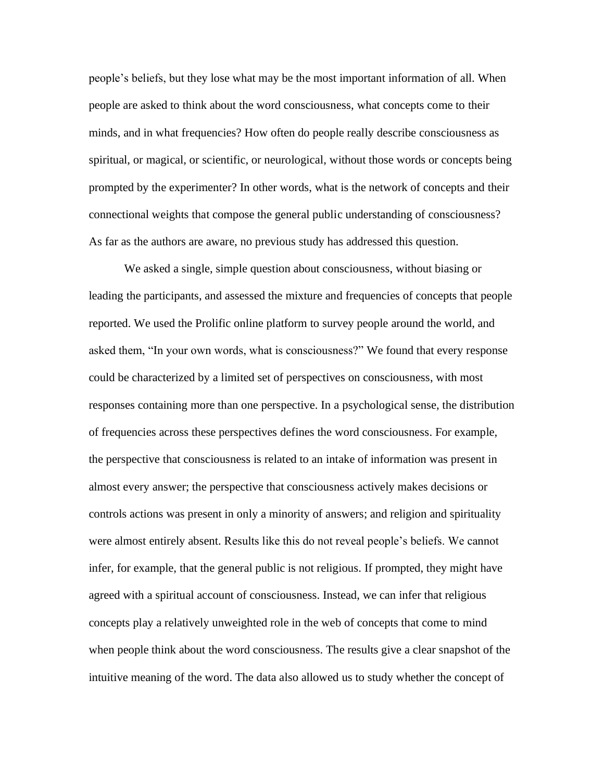people's beliefs, but they lose what may be the most important information of all. When people are asked to think about the word consciousness, what concepts come to their minds, and in what frequencies? How often do people really describe consciousness as spiritual, or magical, or scientific, or neurological, without those words or concepts being prompted by the experimenter? In other words, what is the network of concepts and their connectional weights that compose the general public understanding of consciousness? As far as the authors are aware, no previous study has addressed this question.

We asked a single, simple question about consciousness, without biasing or leading the participants, and assessed the mixture and frequencies of concepts that people reported. We used the Prolific online platform to survey people around the world, and asked them, "In your own words, what is consciousness?" We found that every response could be characterized by a limited set of perspectives on consciousness, with most responses containing more than one perspective. In a psychological sense, the distribution of frequencies across these perspectives defines the word consciousness. For example, the perspective that consciousness is related to an intake of information was present in almost every answer; the perspective that consciousness actively makes decisions or controls actions was present in only a minority of answers; and religion and spirituality were almost entirely absent. Results like this do not reveal people's beliefs. We cannot infer, for example, that the general public is not religious. If prompted, they might have agreed with a spiritual account of consciousness. Instead, we can infer that religious concepts play a relatively unweighted role in the web of concepts that come to mind when people think about the word consciousness. The results give a clear snapshot of the intuitive meaning of the word. The data also allowed us to study whether the concept of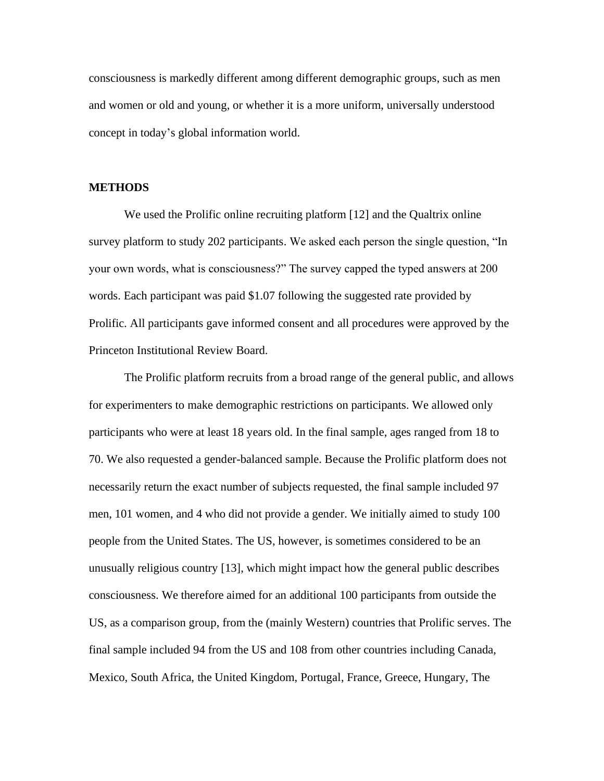consciousness is markedly different among different demographic groups, such as men and women or old and young, or whether it is a more uniform, universally understood concept in today's global information world.

#### **METHODS**

We used the Prolific online recruiting platform [12] and the Qualtrix online survey platform to study 202 participants. We asked each person the single question, "In your own words, what is consciousness?" The survey capped the typed answers at 200 words. Each participant was paid \$1.07 following the suggested rate provided by Prolific. All participants gave informed consent and all procedures were approved by the Princeton Institutional Review Board.

The Prolific platform recruits from a broad range of the general public, and allows for experimenters to make demographic restrictions on participants. We allowed only participants who were at least 18 years old. In the final sample, ages ranged from 18 to 70. We also requested a gender-balanced sample. Because the Prolific platform does not necessarily return the exact number of subjects requested, the final sample included 97 men, 101 women, and 4 who did not provide a gender. We initially aimed to study 100 people from the United States. The US, however, is sometimes considered to be an unusually religious country [13], which might impact how the general public describes consciousness. We therefore aimed for an additional 100 participants from outside the US, as a comparison group, from the (mainly Western) countries that Prolific serves. The final sample included 94 from the US and 108 from other countries including Canada, Mexico, South Africa, the United Kingdom, Portugal, France, Greece, Hungary, The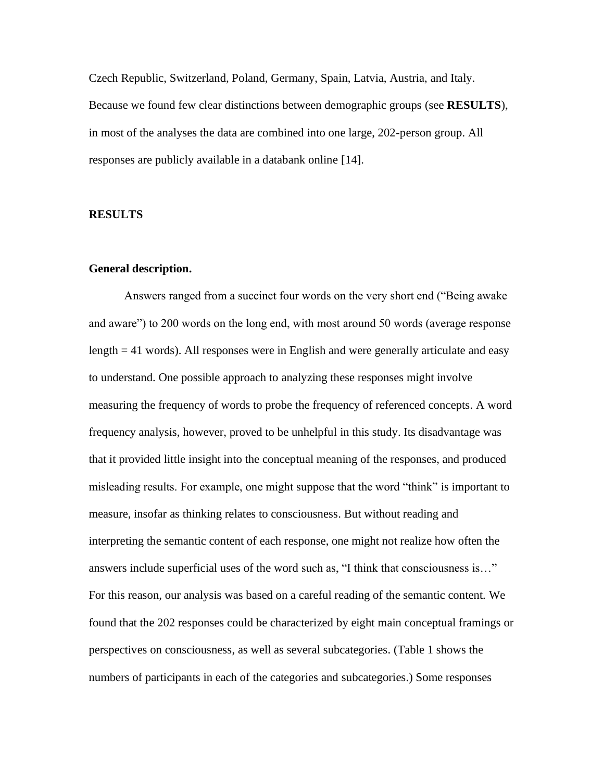Czech Republic, Switzerland, Poland, Germany, Spain, Latvia, Austria, and Italy. Because we found few clear distinctions between demographic groups (see **RESULTS**), in most of the analyses the data are combined into one large, 202-person group. All responses are publicly available in a databank online [14].

## **RESULTS**

#### **General description.**

Answers ranged from a succinct four words on the very short end ("Being awake and aware") to 200 words on the long end, with most around 50 words (average response length = 41 words). All responses were in English and were generally articulate and easy to understand. One possible approach to analyzing these responses might involve measuring the frequency of words to probe the frequency of referenced concepts. A word frequency analysis, however, proved to be unhelpful in this study. Its disadvantage was that it provided little insight into the conceptual meaning of the responses, and produced misleading results. For example, one might suppose that the word "think" is important to measure, insofar as thinking relates to consciousness. But without reading and interpreting the semantic content of each response, one might not realize how often the answers include superficial uses of the word such as, "I think that consciousness is…" For this reason, our analysis was based on a careful reading of the semantic content. We found that the 202 responses could be characterized by eight main conceptual framings or perspectives on consciousness, as well as several subcategories. (Table 1 shows the numbers of participants in each of the categories and subcategories.) Some responses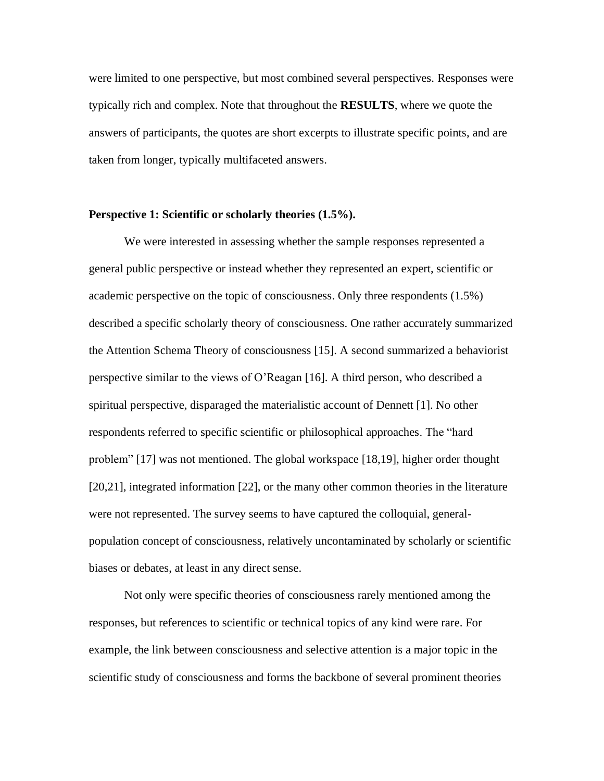were limited to one perspective, but most combined several perspectives. Responses were typically rich and complex. Note that throughout the **RESULTS**, where we quote the answers of participants, the quotes are short excerpts to illustrate specific points, and are taken from longer, typically multifaceted answers.

#### **Perspective 1: Scientific or scholarly theories (1.5%).**

We were interested in assessing whether the sample responses represented a general public perspective or instead whether they represented an expert, scientific or academic perspective on the topic of consciousness. Only three respondents (1.5%) described a specific scholarly theory of consciousness. One rather accurately summarized the Attention Schema Theory of consciousness [15]. A second summarized a behaviorist perspective similar to the views of O'Reagan [16]. A third person, who described a spiritual perspective, disparaged the materialistic account of Dennett [1]. No other respondents referred to specific scientific or philosophical approaches. The "hard problem" [17] was not mentioned. The global workspace [18,19], higher order thought [20,21], integrated information [22], or the many other common theories in the literature were not represented. The survey seems to have captured the colloquial, generalpopulation concept of consciousness, relatively uncontaminated by scholarly or scientific biases or debates, at least in any direct sense.

Not only were specific theories of consciousness rarely mentioned among the responses, but references to scientific or technical topics of any kind were rare. For example, the link between consciousness and selective attention is a major topic in the scientific study of consciousness and forms the backbone of several prominent theories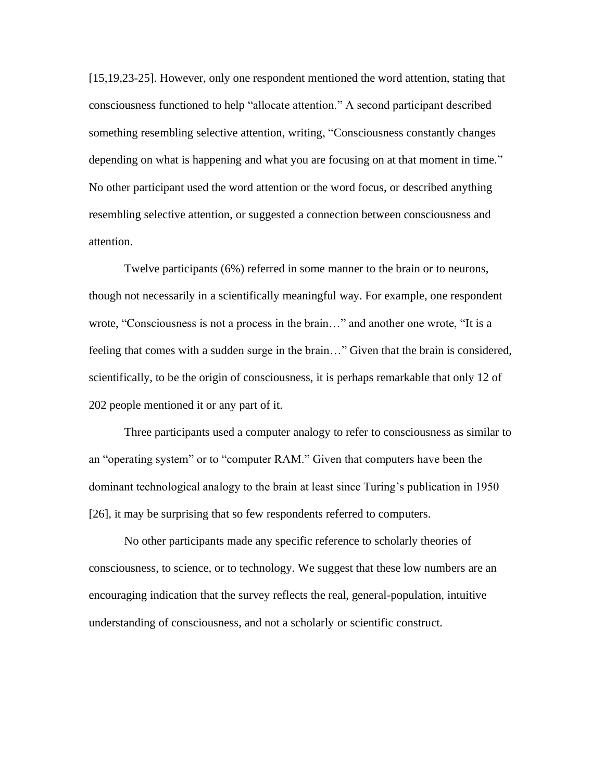[15,19,23-25]. However, only one respondent mentioned the word attention, stating that consciousness functioned to help "allocate attention." A second participant described something resembling selective attention, writing, "Consciousness constantly changes depending on what is happening and what you are focusing on at that moment in time." No other participant used the word attention or the word focus, or described anything resembling selective attention, or suggested a connection between consciousness and attention.

Twelve participants (6%) referred in some manner to the brain or to neurons, though not necessarily in a scientifically meaningful way. For example, one respondent wrote, "Consciousness is not a process in the brain…" and another one wrote, "It is a feeling that comes with a sudden surge in the brain…" Given that the brain is considered, scientifically, to be the origin of consciousness, it is perhaps remarkable that only 12 of 202 people mentioned it or any part of it.

Three participants used a computer analogy to refer to consciousness as similar to an "operating system" or to "computer RAM." Given that computers have been the dominant technological analogy to the brain at least since Turing's publication in 1950 [26], it may be surprising that so few respondents referred to computers.

No other participants made any specific reference to scholarly theories of consciousness, to science, or to technology. We suggest that these low numbers are an encouraging indication that the survey reflects the real, general-population, intuitive understanding of consciousness, and not a scholarly or scientific construct.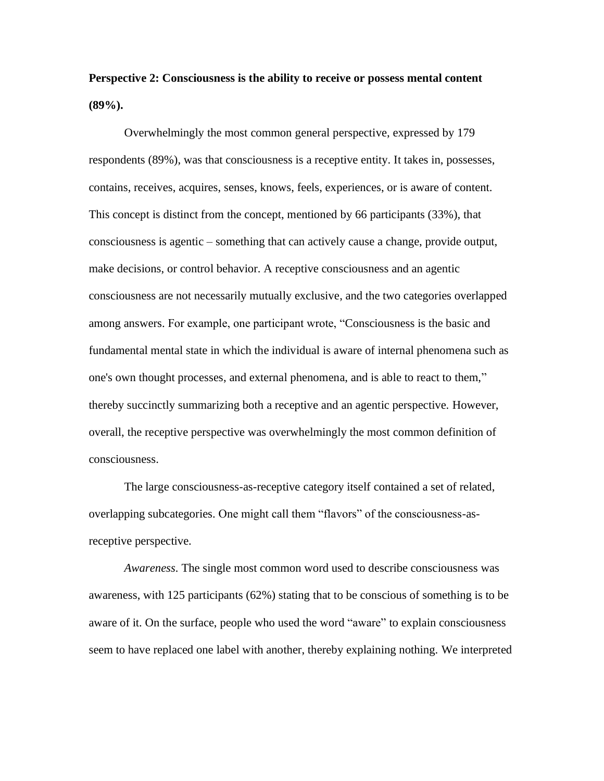**Perspective 2: Consciousness is the ability to receive or possess mental content (89%).**

Overwhelmingly the most common general perspective, expressed by 179 respondents (89%), was that consciousness is a receptive entity. It takes in, possesses, contains, receives, acquires, senses, knows, feels, experiences, or is aware of content. This concept is distinct from the concept, mentioned by 66 participants (33%), that consciousness is agentic – something that can actively cause a change, provide output, make decisions, or control behavior. A receptive consciousness and an agentic consciousness are not necessarily mutually exclusive, and the two categories overlapped among answers. For example, one participant wrote, "Consciousness is the basic and fundamental mental state in which the individual is aware of internal phenomena such as one's own thought processes, and external phenomena, and is able to react to them," thereby succinctly summarizing both a receptive and an agentic perspective. However, overall, the receptive perspective was overwhelmingly the most common definition of consciousness.

The large consciousness-as-receptive category itself contained a set of related, overlapping subcategories. One might call them "flavors" of the consciousness-asreceptive perspective.

*Awareness.* The single most common word used to describe consciousness was awareness, with 125 participants (62%) stating that to be conscious of something is to be aware of it. On the surface, people who used the word "aware" to explain consciousness seem to have replaced one label with another, thereby explaining nothing. We interpreted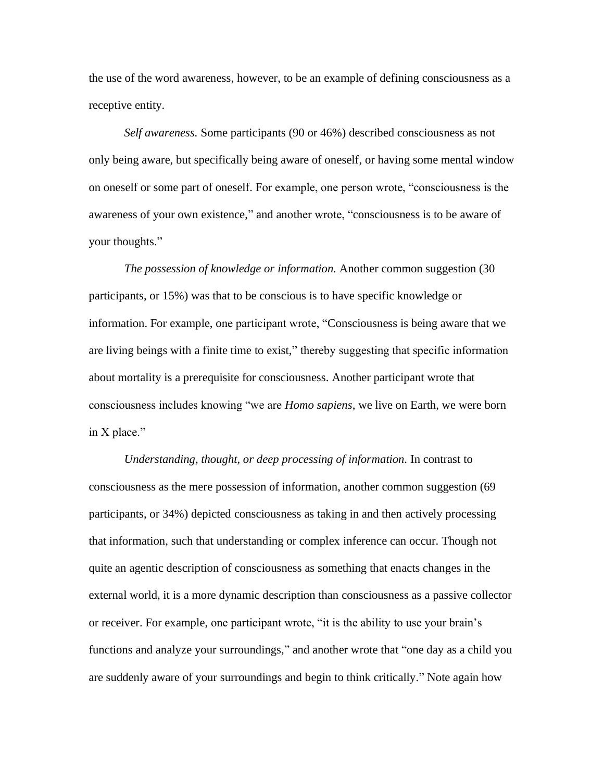the use of the word awareness, however, to be an example of defining consciousness as a receptive entity.

*Self awareness.* Some participants (90 or 46%) described consciousness as not only being aware, but specifically being aware of oneself, or having some mental window on oneself or some part of oneself. For example, one person wrote, "consciousness is the awareness of your own existence," and another wrote, "consciousness is to be aware of your thoughts."

*The possession of knowledge or information.* Another common suggestion (30 participants, or 15%) was that to be conscious is to have specific knowledge or information. For example, one participant wrote, "Consciousness is being aware that we are living beings with a finite time to exist," thereby suggesting that specific information about mortality is a prerequisite for consciousness. Another participant wrote that consciousness includes knowing "we are *Homo sapiens*, we live on Earth, we were born in X place."

*Understanding, thought, or deep processing of information.* In contrast to consciousness as the mere possession of information, another common suggestion (69 participants, or 34%) depicted consciousness as taking in and then actively processing that information, such that understanding or complex inference can occur. Though not quite an agentic description of consciousness as something that enacts changes in the external world, it is a more dynamic description than consciousness as a passive collector or receiver. For example, one participant wrote, "it is the ability to use your brain's functions and analyze your surroundings," and another wrote that "one day as a child you are suddenly aware of your surroundings and begin to think critically." Note again how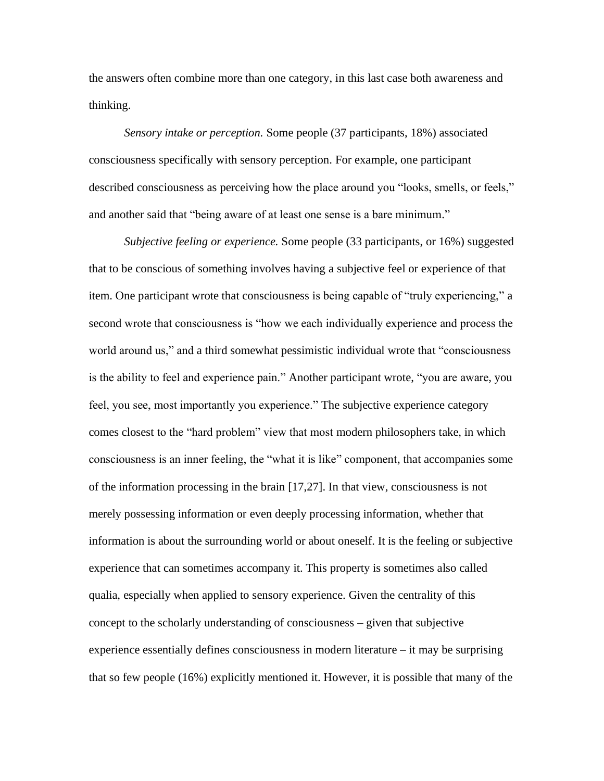the answers often combine more than one category, in this last case both awareness and thinking.

*Sensory intake or perception.* Some people (37 participants, 18%) associated consciousness specifically with sensory perception. For example, one participant described consciousness as perceiving how the place around you "looks, smells, or feels," and another said that "being aware of at least one sense is a bare minimum."

*Subjective feeling or experience.* Some people (33 participants, or 16%) suggested that to be conscious of something involves having a subjective feel or experience of that item. One participant wrote that consciousness is being capable of "truly experiencing," a second wrote that consciousness is "how we each individually experience and process the world around us," and a third somewhat pessimistic individual wrote that "consciousness is the ability to feel and experience pain." Another participant wrote, "you are aware, you feel, you see, most importantly you experience." The subjective experience category comes closest to the "hard problem" view that most modern philosophers take, in which consciousness is an inner feeling, the "what it is like" component, that accompanies some of the information processing in the brain [17,27]. In that view, consciousness is not merely possessing information or even deeply processing information, whether that information is about the surrounding world or about oneself. It is the feeling or subjective experience that can sometimes accompany it. This property is sometimes also called qualia, especially when applied to sensory experience. Given the centrality of this concept to the scholarly understanding of consciousness – given that subjective experience essentially defines consciousness in modern literature – it may be surprising that so few people (16%) explicitly mentioned it. However, it is possible that many of the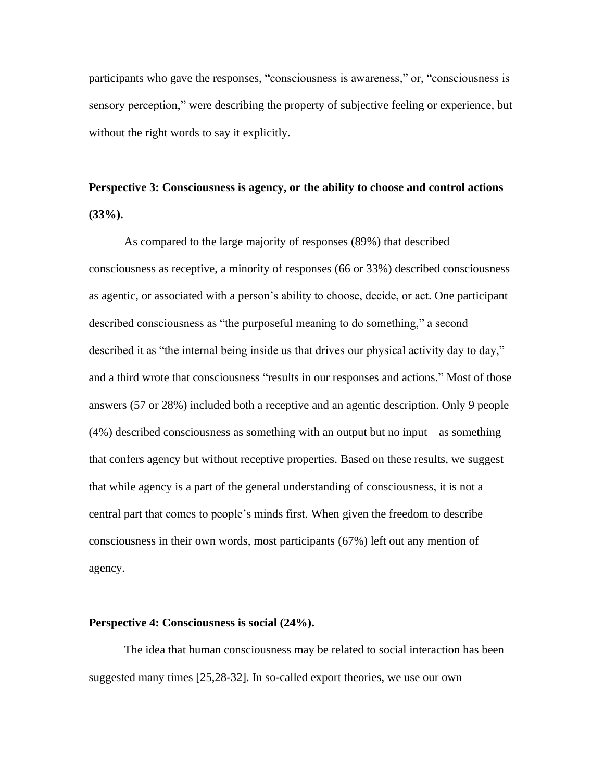participants who gave the responses, "consciousness is awareness," or, "consciousness is sensory perception," were describing the property of subjective feeling or experience, but without the right words to say it explicitly.

# **Perspective 3: Consciousness is agency, or the ability to choose and control actions (33%).**

As compared to the large majority of responses (89%) that described consciousness as receptive, a minority of responses (66 or 33%) described consciousness as agentic, or associated with a person's ability to choose, decide, or act. One participant described consciousness as "the purposeful meaning to do something," a second described it as "the internal being inside us that drives our physical activity day to day," and a third wrote that consciousness "results in our responses and actions." Most of those answers (57 or 28%) included both a receptive and an agentic description. Only 9 people (4%) described consciousness as something with an output but no input – as something that confers agency but without receptive properties. Based on these results, we suggest that while agency is a part of the general understanding of consciousness, it is not a central part that comes to people's minds first. When given the freedom to describe consciousness in their own words, most participants (67%) left out any mention of agency.

#### **Perspective 4: Consciousness is social (24%).**

The idea that human consciousness may be related to social interaction has been suggested many times [25,28-32]. In so-called export theories, we use our own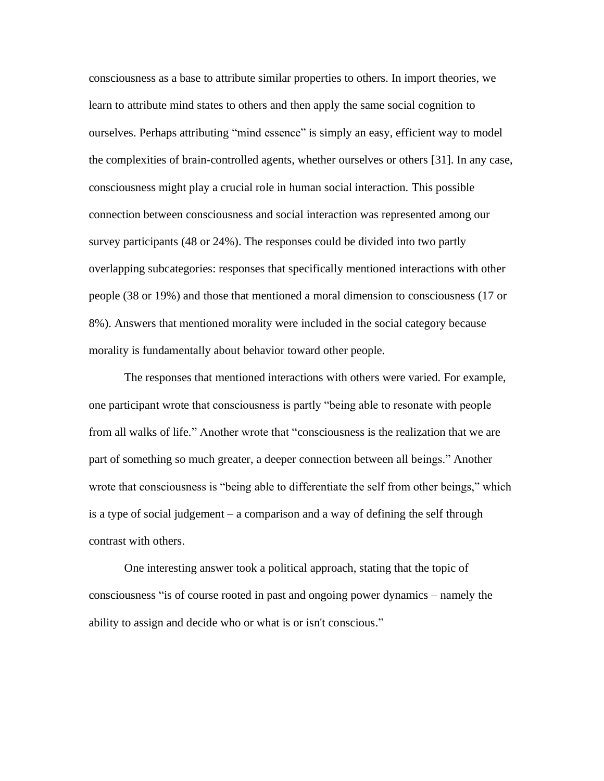consciousness as a base to attribute similar properties to others. In import theories, we learn to attribute mind states to others and then apply the same social cognition to ourselves. Perhaps attributing "mind essence" is simply an easy, efficient way to model the complexities of brain-controlled agents, whether ourselves or others [31]. In any case, consciousness might play a crucial role in human social interaction. This possible connection between consciousness and social interaction was represented among our survey participants (48 or 24%). The responses could be divided into two partly overlapping subcategories: responses that specifically mentioned interactions with other people (38 or 19%) and those that mentioned a moral dimension to consciousness (17 or 8%). Answers that mentioned morality were included in the social category because morality is fundamentally about behavior toward other people.

The responses that mentioned interactions with others were varied. For example, one participant wrote that consciousness is partly "being able to resonate with people from all walks of life." Another wrote that "consciousness is the realization that we are part of something so much greater, a deeper connection between all beings." Another wrote that consciousness is "being able to differentiate the self from other beings," which is a type of social judgement – a comparison and a way of defining the self through contrast with others.

One interesting answer took a political approach, stating that the topic of consciousness "is of course rooted in past and ongoing power dynamics – namely the ability to assign and decide who or what is or isn't conscious."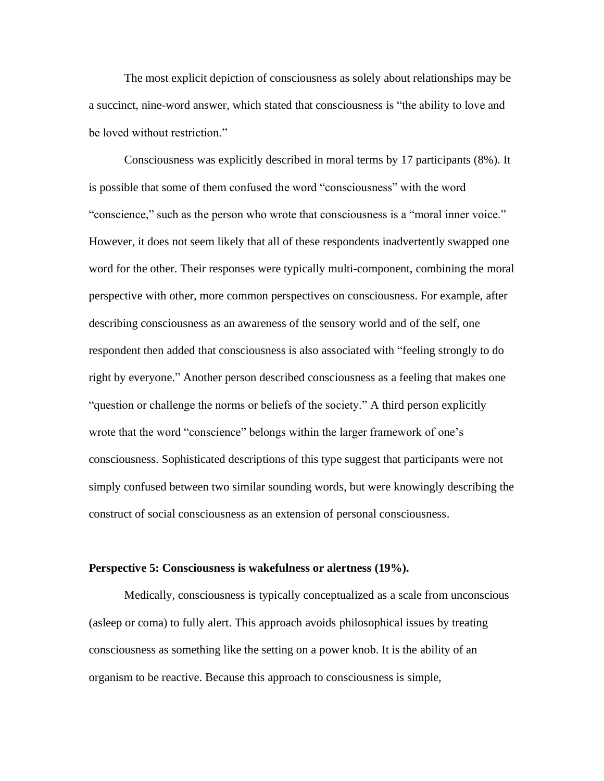The most explicit depiction of consciousness as solely about relationships may be a succinct, nine-word answer, which stated that consciousness is "the ability to love and be loved without restriction."

Consciousness was explicitly described in moral terms by 17 participants (8%). It is possible that some of them confused the word "consciousness" with the word "conscience," such as the person who wrote that consciousness is a "moral inner voice." However, it does not seem likely that all of these respondents inadvertently swapped one word for the other. Their responses were typically multi-component, combining the moral perspective with other, more common perspectives on consciousness. For example, after describing consciousness as an awareness of the sensory world and of the self, one respondent then added that consciousness is also associated with "feeling strongly to do right by everyone." Another person described consciousness as a feeling that makes one "question or challenge the norms or beliefs of the society." A third person explicitly wrote that the word "conscience" belongs within the larger framework of one's consciousness. Sophisticated descriptions of this type suggest that participants were not simply confused between two similar sounding words, but were knowingly describing the construct of social consciousness as an extension of personal consciousness.

#### **Perspective 5: Consciousness is wakefulness or alertness (19%).**

Medically, consciousness is typically conceptualized as a scale from unconscious (asleep or coma) to fully alert. This approach avoids philosophical issues by treating consciousness as something like the setting on a power knob. It is the ability of an organism to be reactive. Because this approach to consciousness is simple,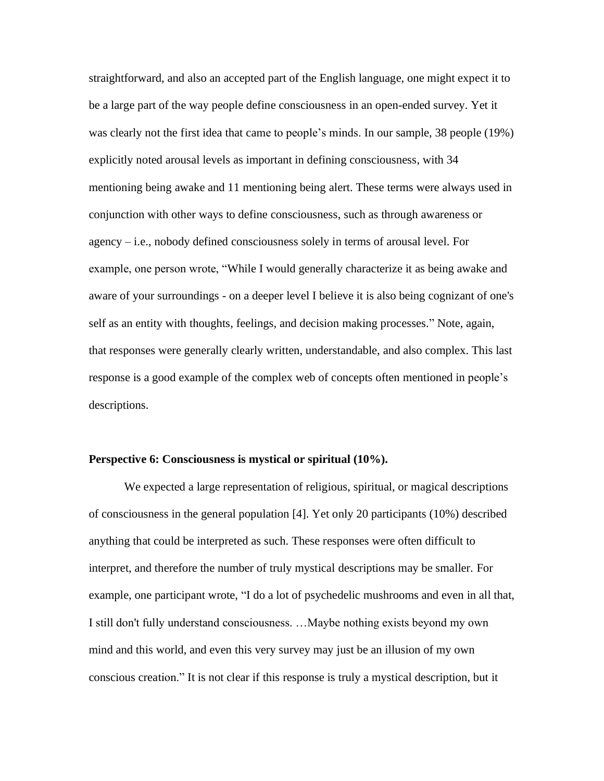straightforward, and also an accepted part of the English language, one might expect it to be a large part of the way people define consciousness in an open-ended survey. Yet it was clearly not the first idea that came to people's minds. In our sample, 38 people (19%) explicitly noted arousal levels as important in defining consciousness, with 34 mentioning being awake and 11 mentioning being alert. These terms were always used in conjunction with other ways to define consciousness, such as through awareness or agency – i.e., nobody defined consciousness solely in terms of arousal level. For example, one person wrote, "While I would generally characterize it as being awake and aware of your surroundings - on a deeper level I believe it is also being cognizant of one's self as an entity with thoughts, feelings, and decision making processes." Note, again, that responses were generally clearly written, understandable, and also complex. This last response is a good example of the complex web of concepts often mentioned in people's descriptions.

#### **Perspective 6: Consciousness is mystical or spiritual (10%).**

We expected a large representation of religious, spiritual, or magical descriptions of consciousness in the general population [4]. Yet only 20 participants (10%) described anything that could be interpreted as such. These responses were often difficult to interpret, and therefore the number of truly mystical descriptions may be smaller. For example, one participant wrote, "I do a lot of psychedelic mushrooms and even in all that, I still don't fully understand consciousness. …Maybe nothing exists beyond my own mind and this world, and even this very survey may just be an illusion of my own conscious creation." It is not clear if this response is truly a mystical description, but it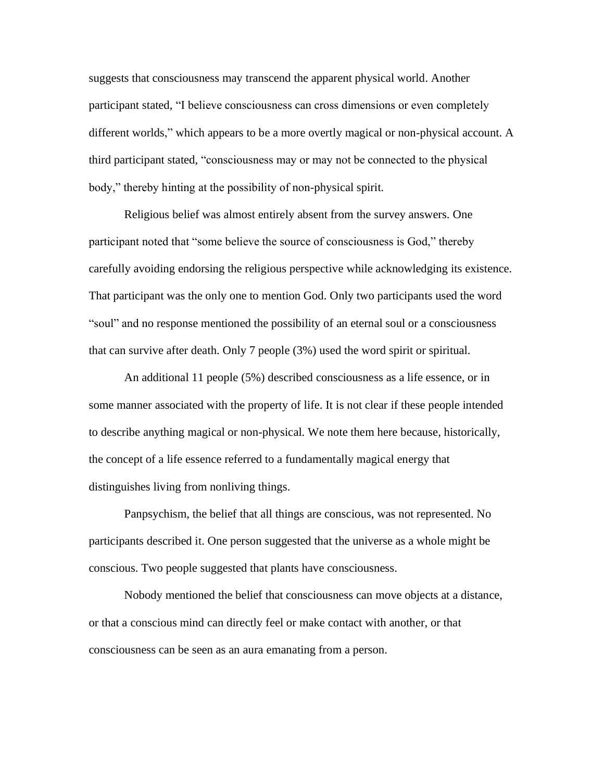suggests that consciousness may transcend the apparent physical world. Another participant stated, "I believe consciousness can cross dimensions or even completely different worlds," which appears to be a more overtly magical or non-physical account. A third participant stated, "consciousness may or may not be connected to the physical body," thereby hinting at the possibility of non-physical spirit.

Religious belief was almost entirely absent from the survey answers. One participant noted that "some believe the source of consciousness is God," thereby carefully avoiding endorsing the religious perspective while acknowledging its existence. That participant was the only one to mention God. Only two participants used the word "soul" and no response mentioned the possibility of an eternal soul or a consciousness that can survive after death. Only 7 people (3%) used the word spirit or spiritual.

An additional 11 people (5%) described consciousness as a life essence, or in some manner associated with the property of life. It is not clear if these people intended to describe anything magical or non-physical. We note them here because, historically, the concept of a life essence referred to a fundamentally magical energy that distinguishes living from nonliving things.

Panpsychism, the belief that all things are conscious, was not represented. No participants described it. One person suggested that the universe as a whole might be conscious. Two people suggested that plants have consciousness.

Nobody mentioned the belief that consciousness can move objects at a distance, or that a conscious mind can directly feel or make contact with another, or that consciousness can be seen as an aura emanating from a person.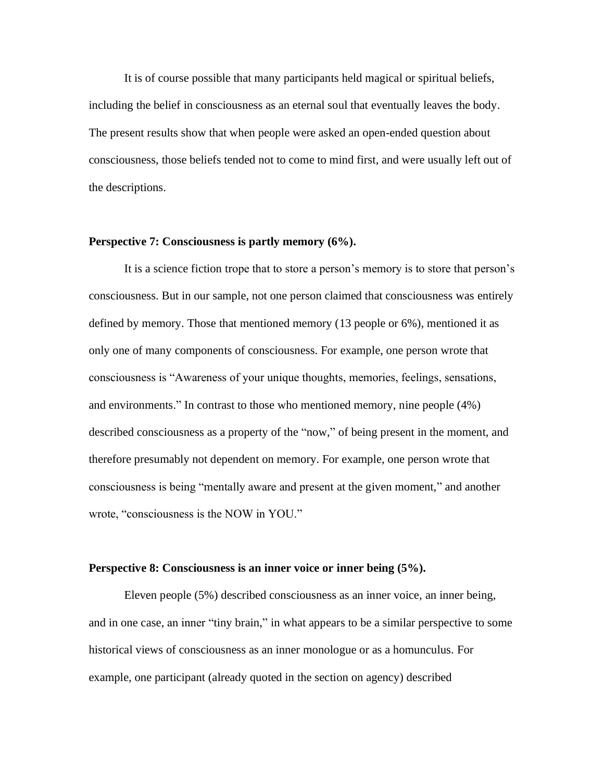It is of course possible that many participants held magical or spiritual beliefs, including the belief in consciousness as an eternal soul that eventually leaves the body. The present results show that when people were asked an open-ended question about consciousness, those beliefs tended not to come to mind first, and were usually left out of the descriptions.

#### **Perspective 7: Consciousness is partly memory (6%).**

It is a science fiction trope that to store a person's memory is to store that person's consciousness. But in our sample, not one person claimed that consciousness was entirely defined by memory. Those that mentioned memory (13 people or 6%), mentioned it as only one of many components of consciousness. For example, one person wrote that consciousness is "Awareness of your unique thoughts, memories, feelings, sensations, and environments." In contrast to those who mentioned memory, nine people (4%) described consciousness as a property of the "now," of being present in the moment, and therefore presumably not dependent on memory. For example, one person wrote that consciousness is being "mentally aware and present at the given moment," and another wrote, "consciousness is the NOW in YOU."

#### **Perspective 8: Consciousness is an inner voice or inner being (5%).**

Eleven people (5%) described consciousness as an inner voice, an inner being, and in one case, an inner "tiny brain," in what appears to be a similar perspective to some historical views of consciousness as an inner monologue or as a homunculus. For example, one participant (already quoted in the section on agency) described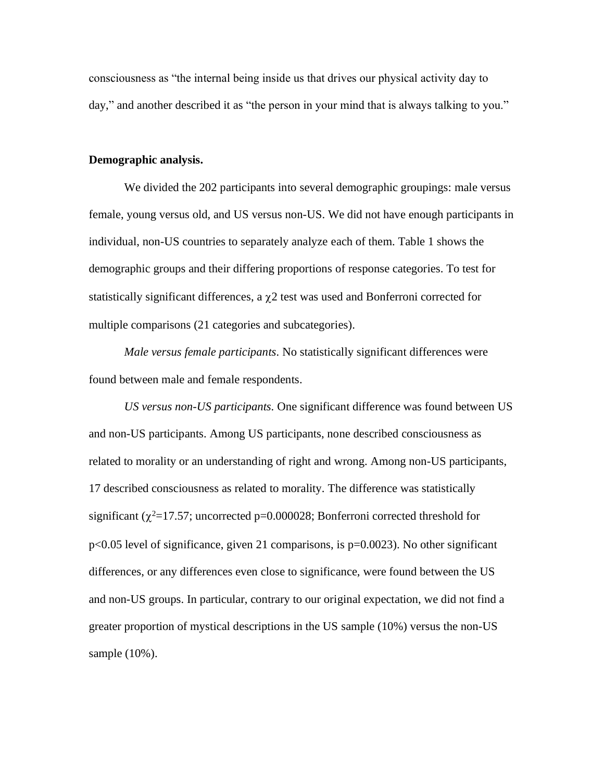consciousness as "the internal being inside us that drives our physical activity day to day," and another described it as "the person in your mind that is always talking to you."

### **Demographic analysis.**

We divided the 202 participants into several demographic groupings: male versus female, young versus old, and US versus non-US. We did not have enough participants in individual, non-US countries to separately analyze each of them. Table 1 shows the demographic groups and their differing proportions of response categories. To test for statistically significant differences, a  $\chi$ 2 test was used and Bonferroni corrected for multiple comparisons (21 categories and subcategories).

*Male versus female participants.* No statistically significant differences were found between male and female respondents.

*US versus non-US participants.* One significant difference was found between US and non-US participants. Among US participants, none described consciousness as related to morality or an understanding of right and wrong. Among non-US participants, 17 described consciousness as related to morality. The difference was statistically significant ( $\chi^2$ =17.57; uncorrected p=0.000028; Bonferroni corrected threshold for p<0.05 level of significance, given 21 comparisons, is p=0.0023). No other significant differences, or any differences even close to significance, were found between the US and non-US groups. In particular, contrary to our original expectation, we did not find a greater proportion of mystical descriptions in the US sample (10%) versus the non-US sample (10%).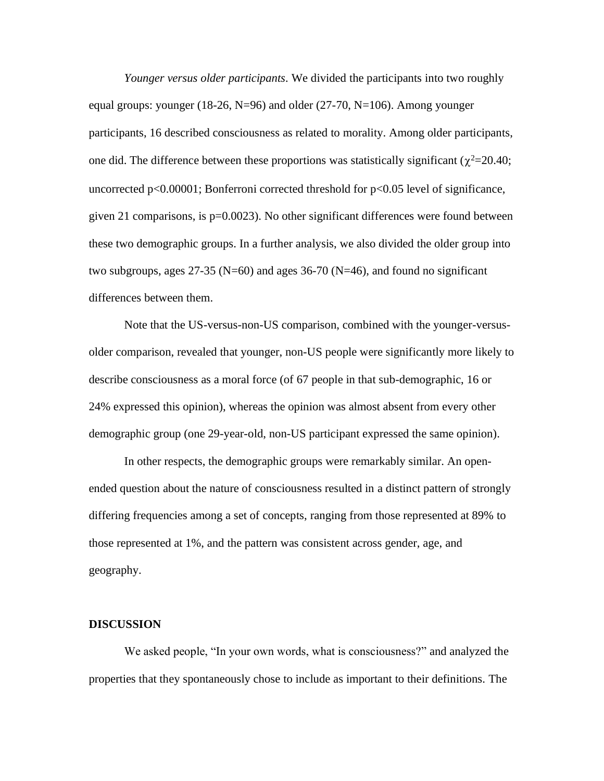*Younger versus older participants.* We divided the participants into two roughly equal groups: younger (18-26, N=96) and older (27-70, N=106). Among younger participants, 16 described consciousness as related to morality. Among older participants, one did. The difference between these proportions was statistically significant ( $\chi^2$ =20.40; uncorrected p<0.00001; Bonferroni corrected threshold for p<0.05 level of significance, given 21 comparisons, is  $p=0.0023$ . No other significant differences were found between these two demographic groups. In a further analysis, we also divided the older group into two subgroups, ages  $27-35$  (N=60) and ages  $36-70$  (N=46), and found no significant differences between them.

Note that the US-versus-non-US comparison, combined with the younger-versusolder comparison, revealed that younger, non-US people were significantly more likely to describe consciousness as a moral force (of 67 people in that sub-demographic, 16 or 24% expressed this opinion), whereas the opinion was almost absent from every other demographic group (one 29-year-old, non-US participant expressed the same opinion).

In other respects, the demographic groups were remarkably similar. An openended question about the nature of consciousness resulted in a distinct pattern of strongly differing frequencies among a set of concepts, ranging from those represented at 89% to those represented at 1%, and the pattern was consistent across gender, age, and geography.

#### **DISCUSSION**

We asked people, "In your own words, what is consciousness?" and analyzed the properties that they spontaneously chose to include as important to their definitions. The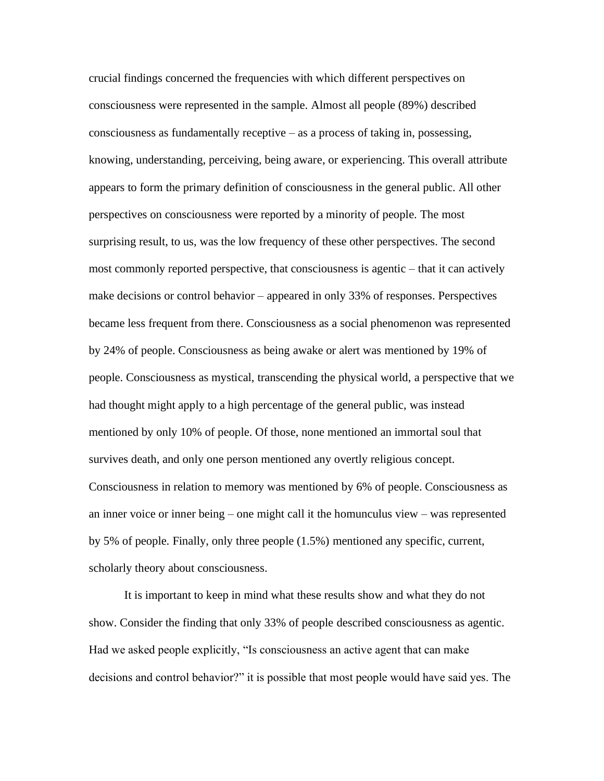crucial findings concerned the frequencies with which different perspectives on consciousness were represented in the sample. Almost all people (89%) described consciousness as fundamentally receptive – as a process of taking in, possessing, knowing, understanding, perceiving, being aware, or experiencing. This overall attribute appears to form the primary definition of consciousness in the general public. All other perspectives on consciousness were reported by a minority of people. The most surprising result, to us, was the low frequency of these other perspectives. The second most commonly reported perspective, that consciousness is agentic – that it can actively make decisions or control behavior – appeared in only 33% of responses. Perspectives became less frequent from there. Consciousness as a social phenomenon was represented by 24% of people. Consciousness as being awake or alert was mentioned by 19% of people. Consciousness as mystical, transcending the physical world, a perspective that we had thought might apply to a high percentage of the general public, was instead mentioned by only 10% of people. Of those, none mentioned an immortal soul that survives death, and only one person mentioned any overtly religious concept. Consciousness in relation to memory was mentioned by 6% of people. Consciousness as an inner voice or inner being – one might call it the homunculus view – was represented by 5% of people. Finally, only three people (1.5%) mentioned any specific, current, scholarly theory about consciousness.

It is important to keep in mind what these results show and what they do not show. Consider the finding that only 33% of people described consciousness as agentic. Had we asked people explicitly, "Is consciousness an active agent that can make decisions and control behavior?" it is possible that most people would have said yes. The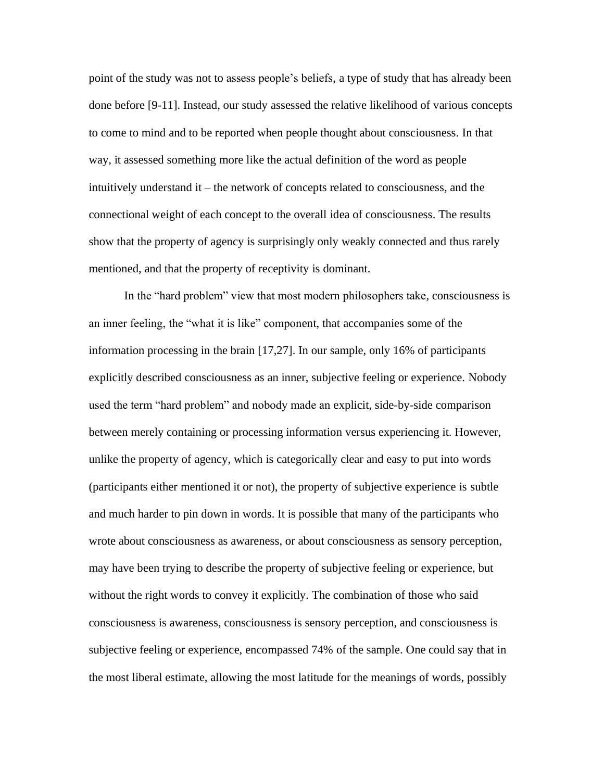point of the study was not to assess people's beliefs, a type of study that has already been done before [9-11]. Instead, our study assessed the relative likelihood of various concepts to come to mind and to be reported when people thought about consciousness. In that way, it assessed something more like the actual definition of the word as people intuitively understand it – the network of concepts related to consciousness, and the connectional weight of each concept to the overall idea of consciousness. The results show that the property of agency is surprisingly only weakly connected and thus rarely mentioned, and that the property of receptivity is dominant.

In the "hard problem" view that most modern philosophers take, consciousness is an inner feeling, the "what it is like" component, that accompanies some of the information processing in the brain [17,27]. In our sample, only 16% of participants explicitly described consciousness as an inner, subjective feeling or experience. Nobody used the term "hard problem" and nobody made an explicit, side-by-side comparison between merely containing or processing information versus experiencing it. However, unlike the property of agency, which is categorically clear and easy to put into words (participants either mentioned it or not), the property of subjective experience is subtle and much harder to pin down in words. It is possible that many of the participants who wrote about consciousness as awareness, or about consciousness as sensory perception, may have been trying to describe the property of subjective feeling or experience, but without the right words to convey it explicitly. The combination of those who said consciousness is awareness, consciousness is sensory perception, and consciousness is subjective feeling or experience, encompassed 74% of the sample. One could say that in the most liberal estimate, allowing the most latitude for the meanings of words, possibly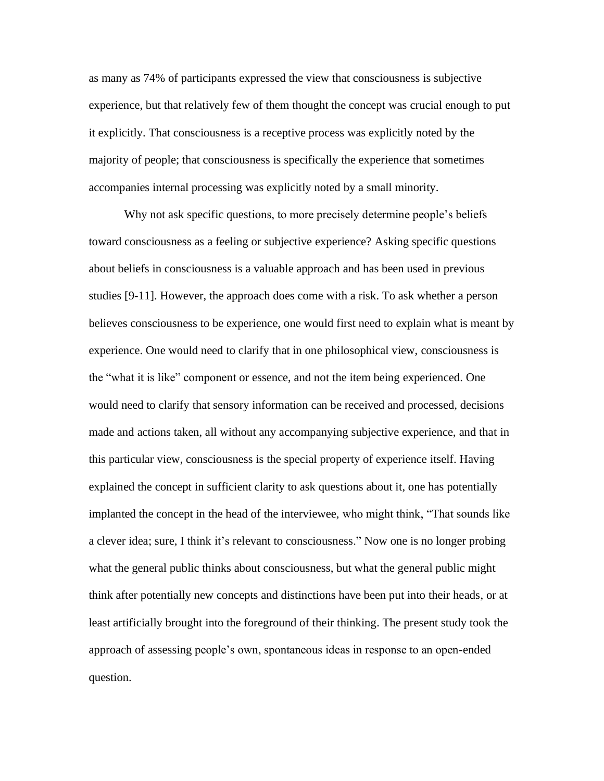as many as 74% of participants expressed the view that consciousness is subjective experience, but that relatively few of them thought the concept was crucial enough to put it explicitly. That consciousness is a receptive process was explicitly noted by the majority of people; that consciousness is specifically the experience that sometimes accompanies internal processing was explicitly noted by a small minority.

Why not ask specific questions, to more precisely determine people's beliefs toward consciousness as a feeling or subjective experience? Asking specific questions about beliefs in consciousness is a valuable approach and has been used in previous studies [9-11]. However, the approach does come with a risk. To ask whether a person believes consciousness to be experience, one would first need to explain what is meant by experience. One would need to clarify that in one philosophical view, consciousness is the "what it is like" component or essence, and not the item being experienced. One would need to clarify that sensory information can be received and processed, decisions made and actions taken, all without any accompanying subjective experience, and that in this particular view, consciousness is the special property of experience itself. Having explained the concept in sufficient clarity to ask questions about it, one has potentially implanted the concept in the head of the interviewee, who might think, "That sounds like a clever idea; sure, I think it's relevant to consciousness." Now one is no longer probing what the general public thinks about consciousness, but what the general public might think after potentially new concepts and distinctions have been put into their heads, or at least artificially brought into the foreground of their thinking. The present study took the approach of assessing people's own, spontaneous ideas in response to an open-ended question.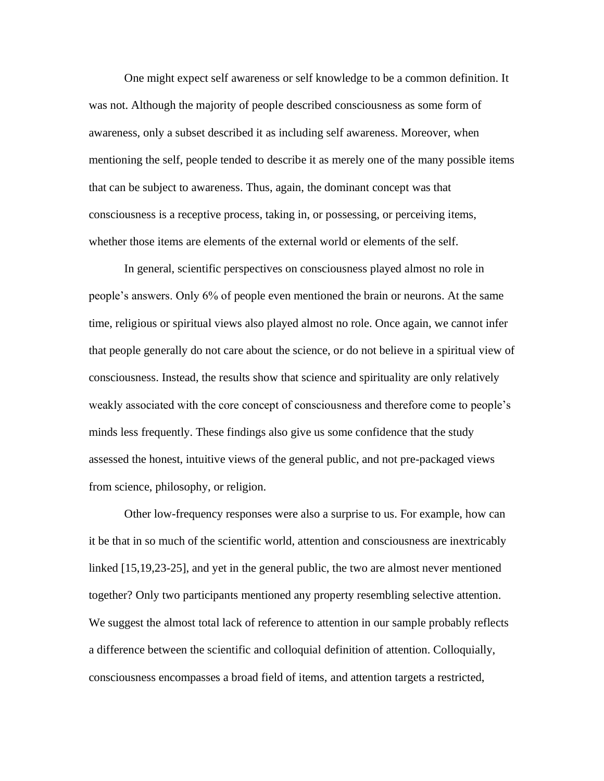One might expect self awareness or self knowledge to be a common definition. It was not. Although the majority of people described consciousness as some form of awareness, only a subset described it as including self awareness. Moreover, when mentioning the self, people tended to describe it as merely one of the many possible items that can be subject to awareness. Thus, again, the dominant concept was that consciousness is a receptive process, taking in, or possessing, or perceiving items, whether those items are elements of the external world or elements of the self.

In general, scientific perspectives on consciousness played almost no role in people's answers. Only 6% of people even mentioned the brain or neurons. At the same time, religious or spiritual views also played almost no role. Once again, we cannot infer that people generally do not care about the science, or do not believe in a spiritual view of consciousness. Instead, the results show that science and spirituality are only relatively weakly associated with the core concept of consciousness and therefore come to people's minds less frequently. These findings also give us some confidence that the study assessed the honest, intuitive views of the general public, and not pre-packaged views from science, philosophy, or religion.

Other low-frequency responses were also a surprise to us. For example, how can it be that in so much of the scientific world, attention and consciousness are inextricably linked [15,19,23-25], and yet in the general public, the two are almost never mentioned together? Only two participants mentioned any property resembling selective attention. We suggest the almost total lack of reference to attention in our sample probably reflects a difference between the scientific and colloquial definition of attention. Colloquially, consciousness encompasses a broad field of items, and attention targets a restricted,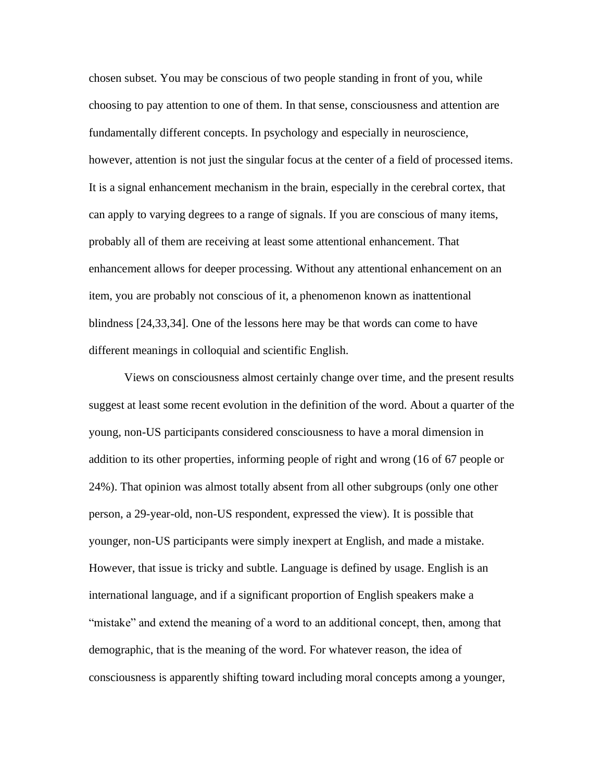chosen subset. You may be conscious of two people standing in front of you, while choosing to pay attention to one of them. In that sense, consciousness and attention are fundamentally different concepts. In psychology and especially in neuroscience, however, attention is not just the singular focus at the center of a field of processed items. It is a signal enhancement mechanism in the brain, especially in the cerebral cortex, that can apply to varying degrees to a range of signals. If you are conscious of many items, probably all of them are receiving at least some attentional enhancement. That enhancement allows for deeper processing. Without any attentional enhancement on an item, you are probably not conscious of it, a phenomenon known as inattentional blindness [24,33,34]. One of the lessons here may be that words can come to have different meanings in colloquial and scientific English.

Views on consciousness almost certainly change over time, and the present results suggest at least some recent evolution in the definition of the word. About a quarter of the young, non-US participants considered consciousness to have a moral dimension in addition to its other properties, informing people of right and wrong (16 of 67 people or 24%). That opinion was almost totally absent from all other subgroups (only one other person, a 29-year-old, non-US respondent, expressed the view). It is possible that younger, non-US participants were simply inexpert at English, and made a mistake. However, that issue is tricky and subtle. Language is defined by usage. English is an international language, and if a significant proportion of English speakers make a "mistake" and extend the meaning of a word to an additional concept, then, among that demographic, that is the meaning of the word. For whatever reason, the idea of consciousness is apparently shifting toward including moral concepts among a younger,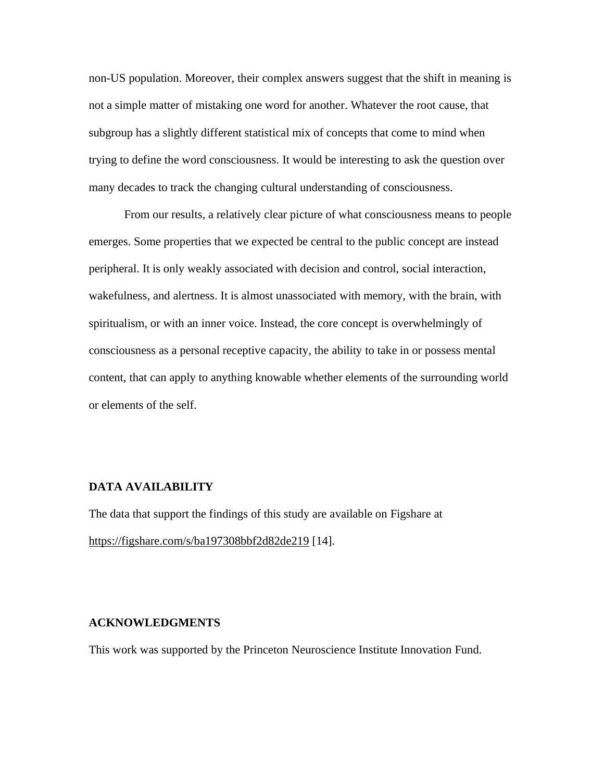non-US population. Moreover, their complex answers suggest that the shift in meaning is not a simple matter of mistaking one word for another. Whatever the root cause, that subgroup has a slightly different statistical mix of concepts that come to mind when trying to define the word consciousness. It would be interesting to ask the question over many decades to track the changing cultural understanding of consciousness.

From our results, a relatively clear picture of what consciousness means to people emerges. Some properties that we expected be central to the public concept are instead peripheral. It is only weakly associated with decision and control, social interaction, wakefulness, and alertness. It is almost unassociated with memory, with the brain, with spiritualism, or with an inner voice. Instead, the core concept is overwhelmingly of consciousness as a personal receptive capacity, the ability to take in or possess mental content, that can apply to anything knowable whether elements of the surrounding world or elements of the self.

#### **DATA AVAILABILITY**

The data that support the findings of this study are available on Figshare at <https://figshare.com/s/ba197308bbf2d82de219> [14].

#### **ACKNOWLEDGMENTS**

This work was supported by the Princeton Neuroscience Institute Innovation Fund.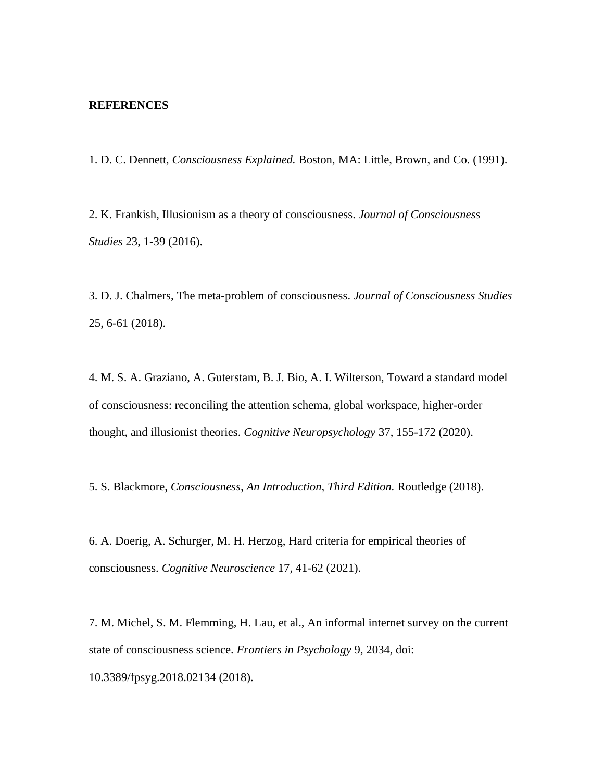## **REFERENCES**

1. D. C. Dennett, *Consciousness Explained.* Boston, MA: Little, Brown, and Co. (1991).

2. K. Frankish, Illusionism as a theory of consciousness. *Journal of Consciousness Studies* 23, 1-39 (2016).

3. D. J. Chalmers, The meta-problem of consciousness. *Journal of Consciousness Studies* 25, 6-61 (2018).

4. M. S. A. Graziano, A. Guterstam, B. J. Bio, A. I. Wilterson, Toward a standard model of consciousness: reconciling the attention schema, global workspace, higher-order thought, and illusionist theories. *Cognitive Neuropsychology* 37, 155-172 (2020).

5. S. Blackmore, *Consciousness, An Introduction, Third Edition.* Routledge (2018).

6. A. Doerig, A. Schurger, M. H. Herzog, Hard criteria for empirical theories of consciousness. *Cognitive Neuroscience* 17*,* 41-62 (2021).

7. M. Michel, S. M. Flemming, H. Lau, et al., An informal internet survey on the current state of consciousness science. *Frontiers in Psychology* 9, 2034, doi: 10.3389/fpsyg.2018.02134 (2018).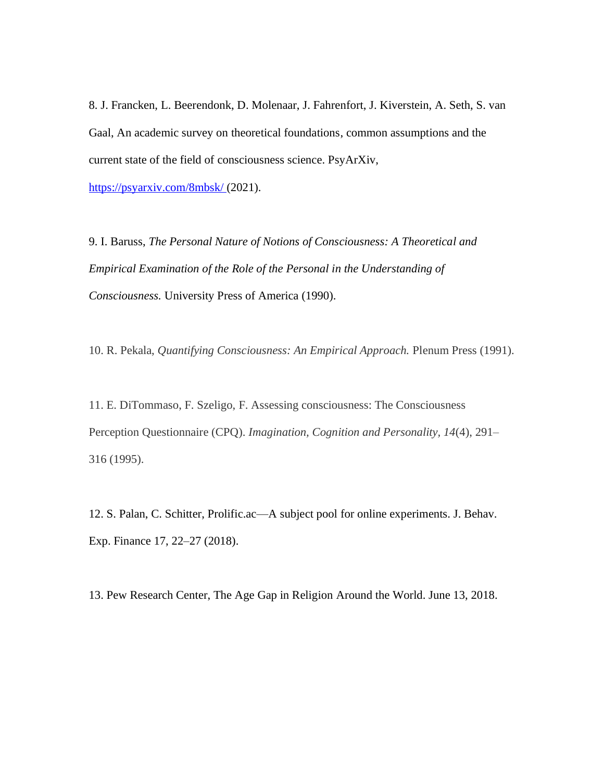8. J. Francken, L. Beerendonk, D. Molenaar, J. Fahrenfort, J. Kiverstein, A. Seth, S. van Gaal, An academic survey on theoretical foundations, common assumptions and the current state of the field of consciousness science. PsyArXiv,

<https://psyarxiv.com/8mbsk/> (2021).

9. I. Baruss, *The Personal Nature of Notions of Consciousness: A Theoretical and Empirical Examination of the Role of the Personal in the Understanding of Consciousness.* University Press of America (1990).

10. R. Pekala, *Quantifying Consciousness: An Empirical Approach.* Plenum Press (1991).

11. E. DiTommaso, F. Szeligo, F. Assessing consciousness: The Consciousness Perception Questionnaire (CPQ). *Imagination, Cognition and Personality, 14*(4), 291– 316 (1995).

12. S. Palan, C. Schitter, Prolific.ac—A subject pool for online experiments. J. Behav. Exp. Finance 17, 22–27 (2018).

13. Pew Research Center, The Age Gap in Religion Around the World. June 13, 2018.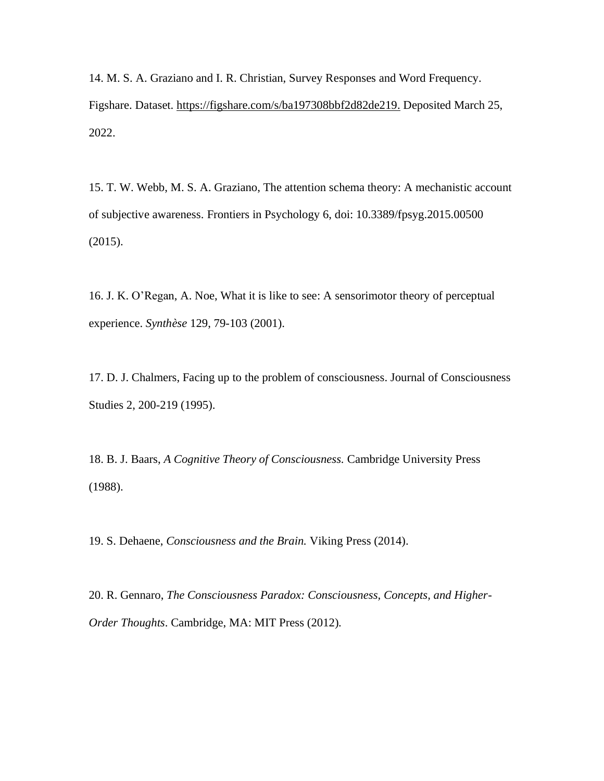14. M. S. A. Graziano and I. R. Christian, Survey Responses and Word Frequency. Figshare. Dataset. [https://figshare.com/s/ba197308bbf2d82de219.](https://figshare.com/s/ba197308bbf2d82de219) Deposited March 25, 2022.

15. T. W. Webb, M. S. A. Graziano, The attention schema theory: A mechanistic account of subjective awareness. Frontiers in Psychology 6, doi: 10.3389/fpsyg.2015.00500 (2015).

16. J. K. O'Regan, A. Noe, What it is like to see: A sensorimotor theory of perceptual experience. *Synthèse* 129, 79-103 (2001).

17. D. J. Chalmers, Facing up to the problem of consciousness. Journal of Consciousness Studies 2, 200-219 (1995).

18. B. J. Baars, *A Cognitive Theory of Consciousness.* Cambridge University Press (1988).

19. S. Dehaene, *Consciousness and the Brain.* Viking Press (2014).

20. R. Gennaro, *The Consciousness Paradox: Consciousness, Concepts, and Higher-Order Thoughts*. Cambridge, MA: MIT Press (2012).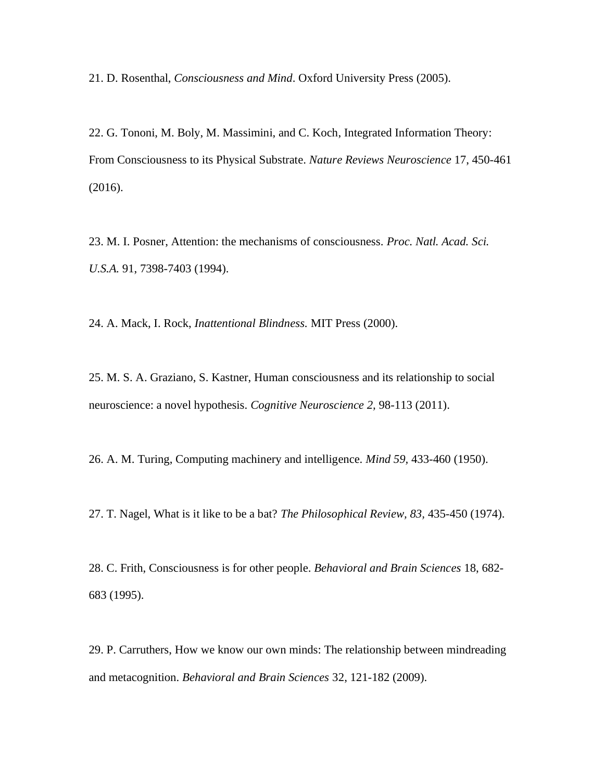21. D. Rosenthal, *Consciousness and Mind*. Oxford University Press (2005).

22. G. Tononi, M. Boly, M. Massimini, and C. Koch, Integrated Information Theory: From Consciousness to its Physical Substrate. *Nature Reviews Neuroscience* 17, 450-461 (2016).

23. M. I. Posner, Attention: the mechanisms of consciousness. *Proc. Natl. Acad. Sci. U.S.A.* 91, 7398-7403 (1994).

24. A. Mack, I. Rock, *Inattentional Blindness.* MIT Press (2000).

25. M. S. A. Graziano, S. Kastner, Human consciousness and its relationship to social neuroscience: a novel hypothesis. *Cognitive Neuroscience 2,* 98-113 (2011).

26. A. M. Turing, Computing machinery and intelligence. *Mind 59,* 433-460 (1950).

27. T. Nagel, What is it like to be a bat? *The Philosophical Review, 83,* 435-450 (1974).

28. C. Frith, Consciousness is for other people. *Behavioral and Brain Sciences* 18, 682- 683 (1995).

29. P. Carruthers, How we know our own minds: The relationship between mindreading and metacognition. *Behavioral and Brain Sciences* 32, 121-182 (2009).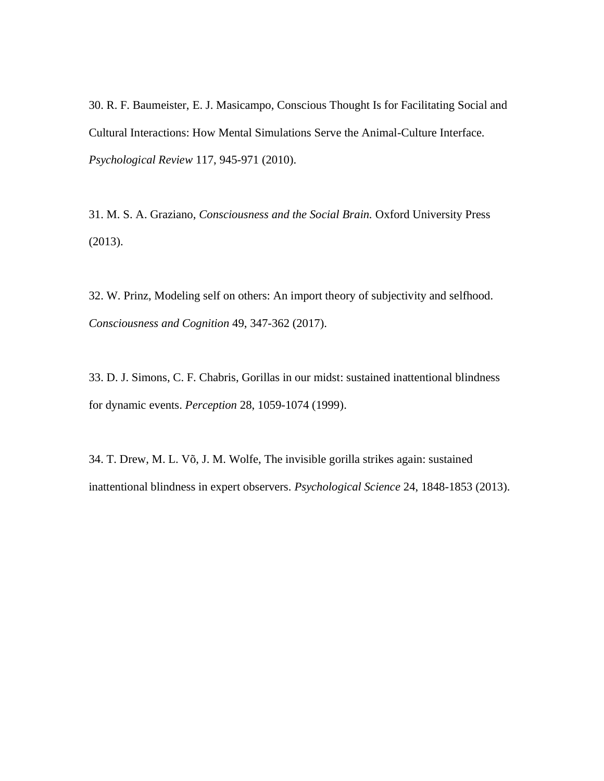30. R. F. Baumeister, E. J. Masicampo, Conscious Thought Is for Facilitating Social and Cultural Interactions: How Mental Simulations Serve the Animal-Culture Interface. *Psychological Review* 117, 945-971 (2010).

31. M. S. A. Graziano, *Consciousness and the Social Brain.* Oxford University Press (2013).

32. W. Prinz, Modeling self on others: An import theory of subjectivity and selfhood. *Consciousness and Cognition* 49, 347-362 (2017).

33. D. J. Simons, C. F. Chabris, Gorillas in our midst: sustained inattentional blindness for dynamic events. *Perception* 28, 1059-1074 (1999).

34. T. Drew, M. L. Võ, J. M. Wolfe, The invisible gorilla strikes again: sustained inattentional blindness in expert observers. *Psychological Science* 24, 1848-1853 (2013).